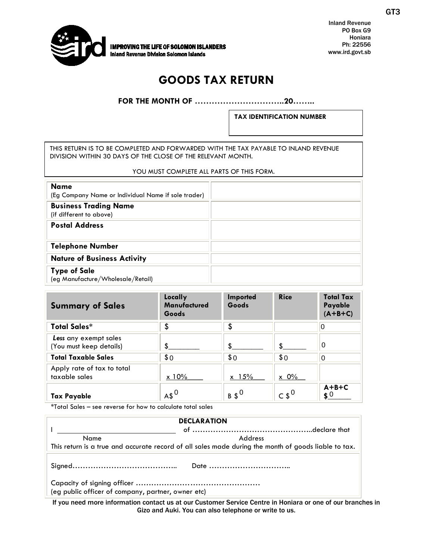

Inland Revenue PO Box G9 Honiara Ph: 22556 www.ird.govt.sb

## **GOODS TAX RETURN**

**FOR THE MONTH OF …………………………..20……..**

**TAX IDENTIFICATION NUMBER**

THIS RETURN IS TO BE COMPLETED AND FORWARDED WITH THE TAX PAYABLE TO INLAND REVENUE DIVISION WITHIN 30 DAYS OF THE CLOSE OF THE RELEVANT MONTH.

## YOU MUST COMPLETE ALL PARTS OF THIS FORM.

| <b>Name</b><br>(Eg Company Name or Individual Name if sole trader) |  |
|--------------------------------------------------------------------|--|
| <b>Business Trading Name</b><br>(if different to above)            |  |
| <b>Postal Address</b>                                              |  |
| <b>Telephone Number</b>                                            |  |
| <b>Nature of Business Activity</b>                                 |  |
| <b>Type of Sale</b><br>(eg Manufacture/Wholesale/Retail)           |  |

| <b>Summary of Sales</b>                          | Locally<br><b>Manufactured</b><br>Goods | Imported<br>Goods | <b>Rice</b>      | <b>Total Tax</b><br>Payable<br>$(A+B+C)$ |
|--------------------------------------------------|-----------------------------------------|-------------------|------------------|------------------------------------------|
| <b>Total Sales*</b>                              | \$                                      | \$                |                  | ΙO                                       |
| Less any exempt sales<br>(You must keep details) | \$                                      |                   |                  | 0                                        |
| <b>Total Taxable Sales</b>                       | \$0                                     | \$0               | \$0              | $\Omega$                                 |
| Apply rate of tax to total<br>taxable sales      | $\times$ 10%                            | $x \frac{15}{6}$  | $\times$ 0%      |                                          |
| <b>Tax Payable</b>                               | $AA^0$                                  | $B S^0$           | $\sim$ \$ $^{0}$ | $A+B+C$<br>$\boldsymbol{\mathsf{s}}$ 0   |

\*Total Sales – see reverse for how to calculate total sales

| <b>DECLARATION</b>                                                                                   |                                                                                  |  |  |
|------------------------------------------------------------------------------------------------------|----------------------------------------------------------------------------------|--|--|
|                                                                                                      |                                                                                  |  |  |
| Name                                                                                                 | Address                                                                          |  |  |
| This return is a true and accurate record of all sales made during the month of goods liable to tax. |                                                                                  |  |  |
|                                                                                                      |                                                                                  |  |  |
| (eg public officer of company, partner, owner etc)                                                   |                                                                                  |  |  |
|                                                                                                      | ,一个人的人,一个人都是一个人,一个人的人,一个人都是一个人,一个人都是一个人,一个人都是一个人,一个人都是一个人,一个人都是一个人,一个人都是一个人,一个人, |  |  |

If you need more information contact us at our Customer Service Centre in Honiara or one of our branches in Gizo and Auki. You can also telephone or write to us.